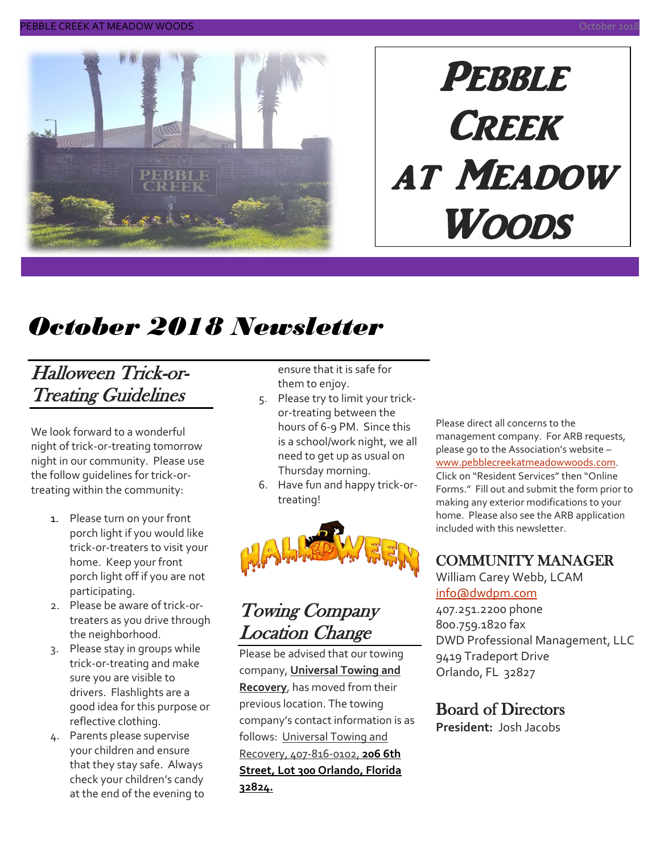

# **PEBBLE CREEK** at Meadow Woods

# *October 2018 Newsletter*

### Halloween Trick-or-Treating Guidelines

We look forward to a wonderful night of trick-or-treating tomorrow night in our community. Please use the follow guidelines for trick-ortreating within the community:

- 1. Please turn on your front porch light if you would like trick-or-treaters to visit your home. Keep your front porch light off if you are not participating.
- 2. Please be aware of trick-ortreaters as you drive through the neighborhood.
- 3. Please stay in groups while trick-or-treating and make sure you are visible to drivers. Flashlights are a good idea for this purpose or reflective clothing.
- 4. Parents please supervise your children and ensure that they stay safe. Always check your children's candy at the end of the evening to

ensure that it is safe for them to enjoy.

- 5. Please try to limit your trickor-treating between the hours of 6-9 PM. Since this is a school/work night, we all need to get up as usual on Thursday morning.
- 6. Have fun and happy trick-ortreating!



#### Towing Company Location Change

Please be advised that our towing company, **Universal Towing and Recovery**, has moved from their previous location. The towing company's contact information is as follows: Universal Towing and Recovery, 407-816-0102, **206 6th Street, Lot 300 Orlando, Florida 32824.**

Please direct all concerns to the management company. For ARB requests, please go to the Association's website – [www.pebblecreekatmeadowwoods.com.](http://www.pebblecreekatmeadowwoods.com/) Click on "Resident Services" then "Online Forms." Fill out and submit the form prior to making any exterior modifications to your home. Please also see the ARB application included with this newsletter.

#### COMMUNITY MANAGER

William Carey Webb, LCAM [info@dwdpm.com](mailto:info@dwdpm.com)  407.251.2200 phone

800.759.1820 fax DWD Professional Management, LLC 9419 Tradeport Drive Orlando, FL 32827

#### Board of Directors

**President:** Josh Jacobs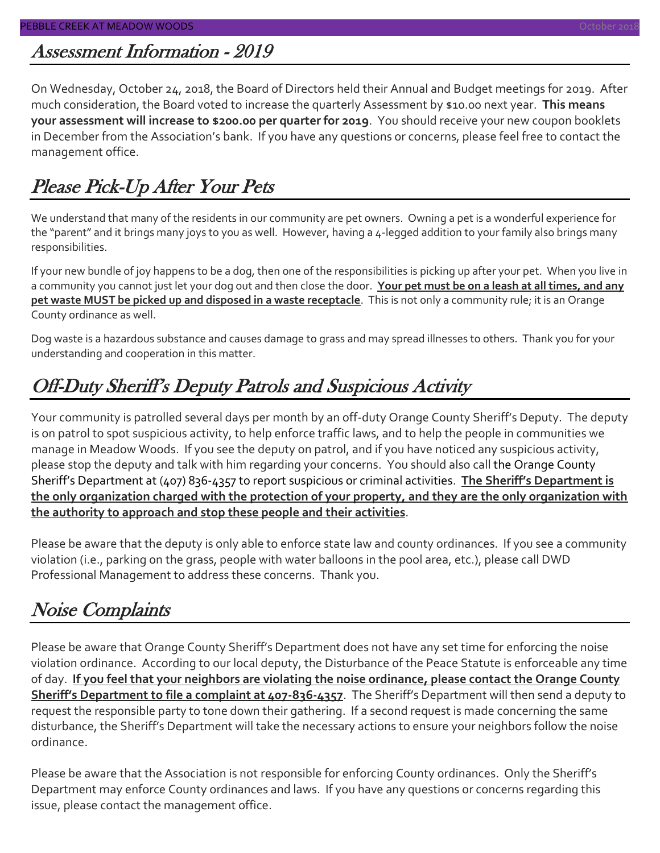# Assessment Information - 2019

On Wednesday, October 24, 2018, the Board of Directors held their Annual and Budget meetings for 2019. After much consideration, the Board voted to increase the quarterly Assessment by \$10.00 next year. **This means your assessment will increase to \$200.00 per quarter for 2019**. You should receive your new coupon booklets in December from the Association's bank. If you have any questions or concerns, please feel free to contact the management office.

### Please Pick-Up After Your Pets

We understand that many of the residents in our community are pet owners. Owning a pet is a wonderful experience for the "parent" and it brings many joys to you as well. However, having a 4-legged addition to your family also brings many responsibilities.

If your new bundle of joy happens to be a dog, then one of the responsibilities is picking up after your pet. When you live in a community you cannot just let your dog out and then close the door. **Your pet must be on a leash at all times, and any pet waste MUST be picked up and disposed in a waste receptacle**. This is not only a community rule; it is an Orange County ordinance as well.

Dog waste is a hazardous substance and causes damage to grass and may spread illnesses to others. Thank you for your understanding and cooperation in this matter.

### Off-Duty Sheriff's Deputy Patrols and Suspicious Activity

Your community is patrolled several days per month by an off-duty Orange County Sheriff's Deputy. The deputy is on patrol to spot suspicious activity, to help enforce traffic laws, and to help the people in communities we manage in Meadow Woods. If you see the deputy on patrol, and if you have noticed any suspicious activity, please stop the deputy and talk with him regarding your concerns. You should also call the Orange County Sheriff's Department at (407) 836-4357 to report suspicious or criminal activities. **The Sheriff's Department is the only organization charged with the protection of your property, and they are the only organization with the authority to approach and stop these people and their activities**.

Please be aware that the deputy is only able to enforce state law and county ordinances. If you see a community violation (i.e., parking on the grass, people with water balloons in the pool area, etc.), please call DWD Professional Management to address these concerns. Thank you.

# Noise Complaints

Please be aware that Orange County Sheriff's Department does not have any set time for enforcing the noise violation ordinance. According to our local deputy, the Disturbance of the Peace Statute is enforceable any time of day. **If you feel that your neighbors are violating the noise ordinance, please contact the Orange County Sheriff's Department to file a complaint at 407-836-4357**. The Sheriff's Department will then send a deputy to request the responsible party to tone down their gathering. If a second request is made concerning the same disturbance, the Sheriff's Department will take the necessary actions to ensure your neighbors follow the noise ordinance.

Please be aware that the Association is not responsible for enforcing County ordinances. Only the Sheriff's Department may enforce County ordinances and laws. If you have any questions or concerns regarding this issue, please contact the management office.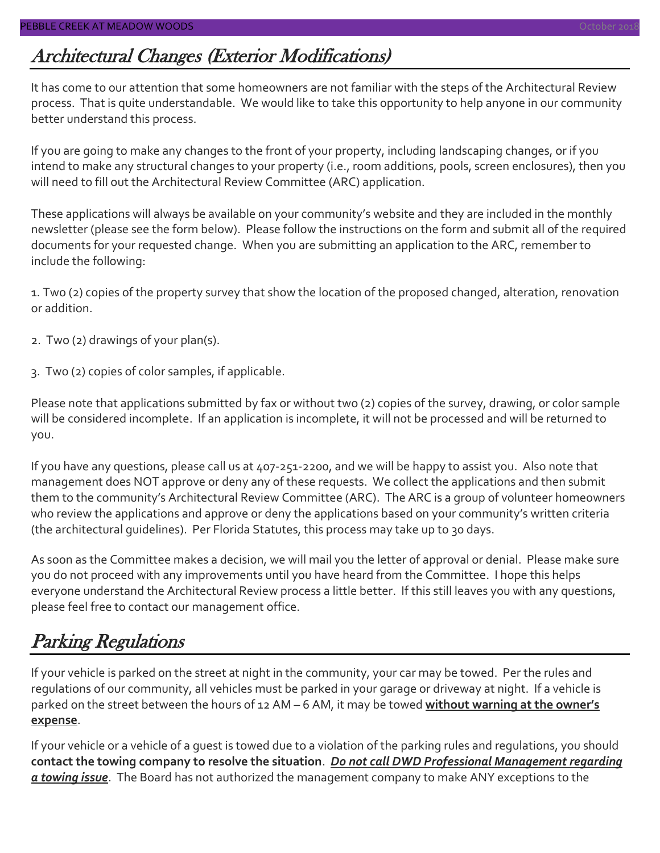### Architectural Changes (Exterior Modifications)

It has come to our attention that some homeowners are not familiar with the steps of the Architectural Review process. That is quite understandable. We would like to take this opportunity to help anyone in our community better understand this process.

If you are going to make any changes to the front of your property, including landscaping changes, or if you intend to make any structural changes to your property (i.e., room additions, pools, screen enclosures), then you will need to fill out the Architectural Review Committee (ARC) application.

These applications will always be available on your community's website and they are included in the monthly newsletter (please see the form below). Please follow the instructions on the form and submit all of the required documents for your requested change. When you are submitting an application to the ARC, remember to include the following:

1. Two (2) copies of the property survey that show the location of the proposed changed, alteration, renovation or addition.

- 2. Two (2) drawings of your plan(s).
- 3. Two (2) copies of color samples, if applicable.

Please note that applications submitted by fax or without two (2) copies of the survey, drawing, or color sample will be considered incomplete. If an application is incomplete, it will not be processed and will be returned to you.

If you have any questions, please call us at 407-251-2200, and we will be happy to assist you. Also note that management does NOT approve or deny any of these requests. We collect the applications and then submit them to the community's Architectural Review Committee (ARC). The ARC is a group of volunteer homeowners who review the applications and approve or deny the applications based on your community's written criteria (the architectural guidelines). Per Florida Statutes, this process may take up to 30 days.

As soon as the Committee makes a decision, we will mail you the letter of approval or denial. Please make sure you do not proceed with any improvements until you have heard from the Committee. I hope this helps everyone understand the Architectural Review process a little better. If this still leaves you with any questions, please feel free to contact our management office.

### Parking Regulations

If your vehicle is parked on the street at night in the community, your car may be towed. Per the rules and regulations of our community, all vehicles must be parked in your garage or driveway at night. If a vehicle is parked on the street between the hours of 12 AM – 6 AM, it may be towed **without warning at the owner's expense**.

If your vehicle or a vehicle of a guest is towed due to a violation of the parking rules and regulations, you should **contact the towing company to resolve the situation**. *Do not call DWD Professional Management regarding a towing issue*. The Board has not authorized the management company to make ANY exceptions to the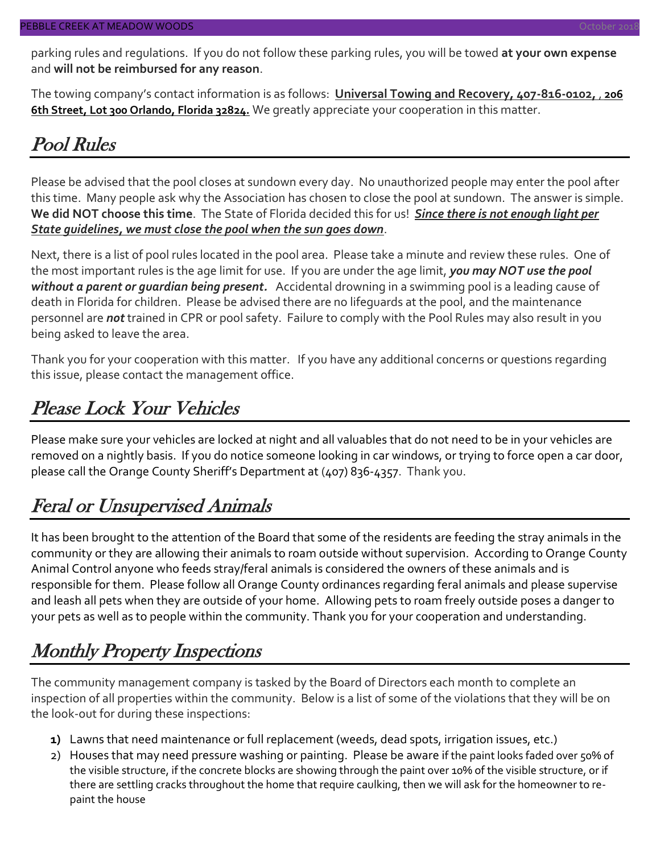parking rules and regulations. If you do not follow these parking rules, you will be towed **at your own expense** and **will not be reimbursed for any reason**.

The towing company's contact information is as follows: **Universal Towing and Recovery, 407-816-0102,** , **206 6th Street, Lot 300 Orlando, Florida 32824.** We greatly appreciate your cooperation in this matter.

#### Pool Rules

Please be advised that the pool closes at sundown every day. No unauthorized people may enter the pool after this time. Many people ask why the Association has chosen to close the pool at sundown. The answer is simple. **We did NOT choose this time**. The State of Florida decided this for us! *Since there is not enough light per State guidelines, we must close the pool when the sun goes down*.

Next, there is a list of pool rules located in the pool area. Please take a minute and review these rules. One of the most important rules is the age limit for use. If you are under the age limit, *you may NOT use the pool without a parent or guardian being present.* Accidental drowning in a swimming pool is a leading cause of death in Florida for children. Please be advised there are no lifeguards at the pool, and the maintenance personnel are *not* trained in CPR or pool safety. Failure to comply with the Pool Rules may also result in you being asked to leave the area.

Thank you for your cooperation with this matter. If you have any additional concerns or questions regarding this issue, please contact the management office.

### Please Lock Your Vehicles

Please make sure your vehicles are locked at night and all valuables that do not need to be in your vehicles are removed on a nightly basis. If you do notice someone looking in car windows, or trying to force open a car door, please call the Orange County Sheriff's Department at (407) 836-4357. Thank you.

#### Feral or Unsupervised Animals

It has been brought to the attention of the Board that some of the residents are feeding the stray animals in the community or they are allowing their animals to roam outside without supervision. According to Orange County Animal Control anyone who feeds stray/feral animals is considered the owners of these animals and is responsible for them. Please follow all Orange County ordinances regarding feral animals and please supervise and leash all pets when they are outside of your home. Allowing pets to roam freely outside poses a danger to your pets as well as to people within the community. Thank you for your cooperation and understanding.

# Monthly Property Inspections

The community management company is tasked by the Board of Directors each month to complete an inspection of all properties within the community. Below is a list of some of the violations that they will be on the look-out for during these inspections:

- **1)** Lawns that need maintenance or full replacement (weeds, dead spots, irrigation issues, etc.)
- 2) Houses that may need pressure washing or painting. Please be aware if the paint looks faded over 50% of the visible structure, if the concrete blocks are showing through the paint over 10% of the visible structure, or if there are settling cracks throughout the home that require caulking, then we will ask for the homeowner to repaint the house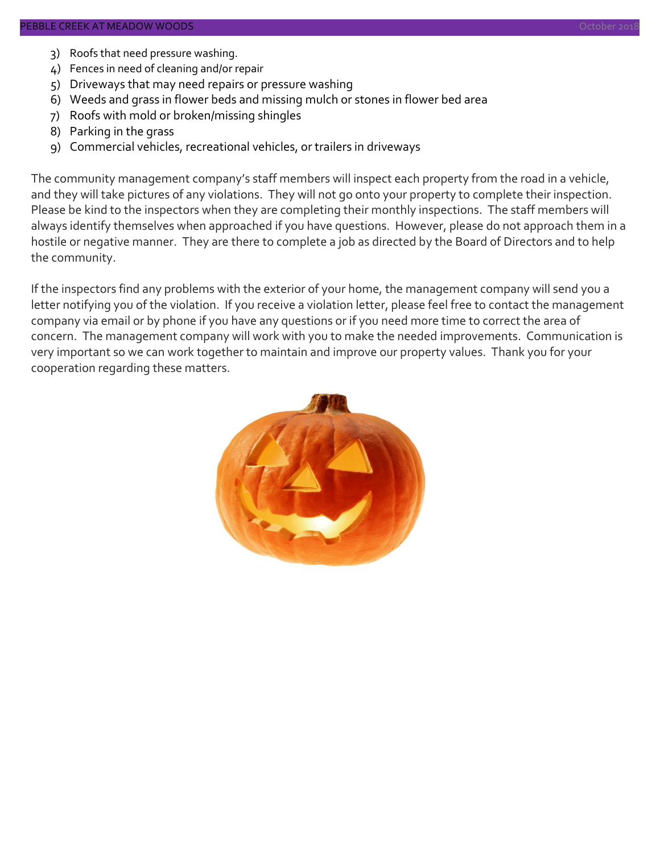- 3) Roofs that need pressure washing.
- 4) Fences in need of cleaning and/or repair
- 5) Driveways that may need repairs or pressure washing
- 6) Weeds and grass in flower beds and missing mulch or stones in flower bed area
- 7) Roofs with mold or broken/missing shingles
- 8) Parking in the grass
- 9) Commercial vehicles, recreational vehicles, or trailers in driveways

The community management company's staff members will inspect each property from the road in a vehicle, and they will take pictures of any violations. They will not go onto your property to complete their inspection. Please be kind to the inspectors when they are completing their monthly inspections. The staff members will always identify themselves when approached if you have questions. However, please do not approach them in a hostile or negative manner. They are there to complete a job as directed by the Board of Directors and to help the community.

If the inspectors find any problems with the exterior of your home, the management company will send you a letter notifying you of the violation. If you receive a violation letter, please feel free to contact the management company via email or by phone if you have any questions or if you need more time to correct the area of concern. The management company will work with you to make the needed improvements. Communication is very important so we can work together to maintain and improve our property values. Thank you for your cooperation regarding these matters.

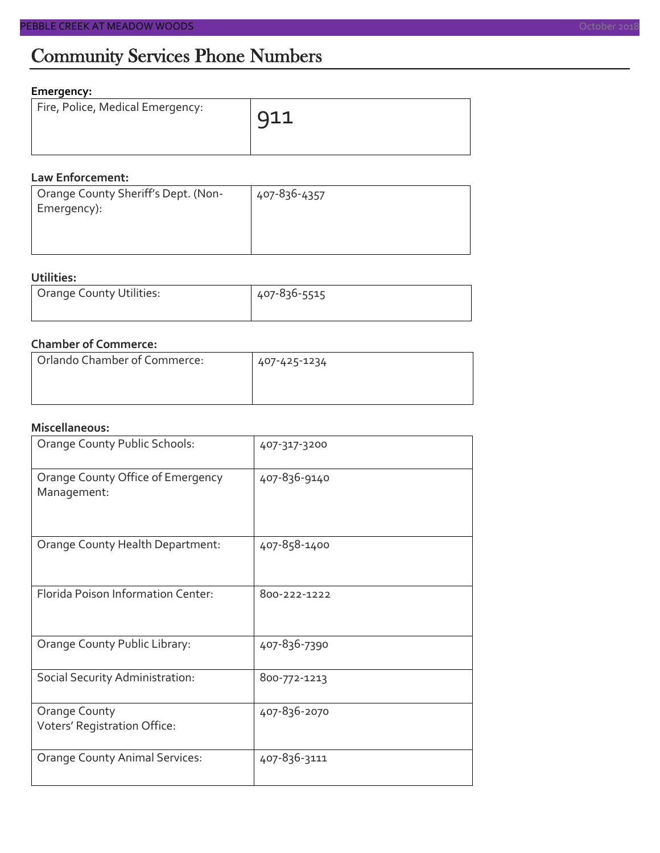#### **Emergency:**

| Fire, Police, Medical Emergency: | $911$ |
|----------------------------------|-------|
|                                  |       |

#### **Law Enforcement:**

| 407-836-4357 |
|--------------|
|              |
|              |
|              |

#### **Utilities:**

| Orange County Utilities: | 407-836-5515 |  |  |
|--------------------------|--------------|--|--|
|                          |              |  |  |

#### **Chamber of Commerce:**

| Orlando Chamber of Commerce: | 407-425-1234 |
|------------------------------|--------------|
|                              |              |

#### **Miscellaneous:**

| Orange County Public Schools:                    | 407-317-3200 |
|--------------------------------------------------|--------------|
| Orange County Office of Emergency<br>Management: | 407-836-9140 |
| Orange County Health Department:                 | 407-858-1400 |
| Florida Poison Information Center:               | 800-222-1222 |
| Orange County Public Library:                    | 407-836-7390 |
| Social Security Administration:                  | 800-772-1213 |
| Orange County<br>Voters' Registration Office:    | 407-836-2070 |
| <b>Orange County Animal Services:</b>            | 407-836-3111 |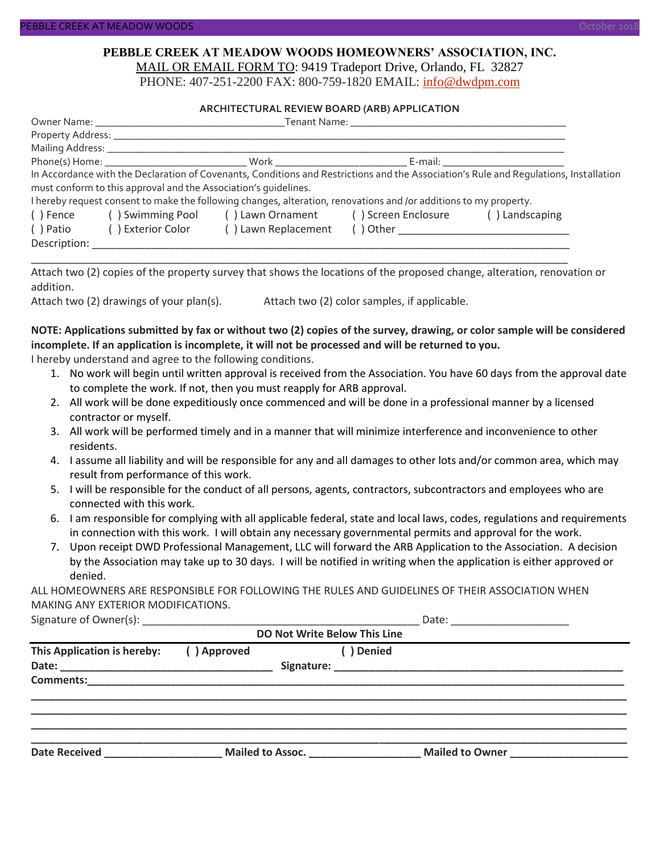#### **PEBBLE CREEK AT MEADOW WOODS HOMEOWNERS' ASSOCIATION, INC.** MAIL OR EMAIL FORM TO: 9419 Tradeport Drive, Orlando, FL 32827

PHONE: 407-251-2200 FAX: 800-759-1820 EMAIL: [info@dwdpm.com](mailto:info@dwdpm.com)

#### **ARCHITECTURAL REVIEW BOARD (ARB) APPLICATION**

|              |                                                                 | Phone(s) Home: North Mork North Beams Beams E-mail:                                                               |                                                                                                                                       |
|--------------|-----------------------------------------------------------------|-------------------------------------------------------------------------------------------------------------------|---------------------------------------------------------------------------------------------------------------------------------------|
|              |                                                                 |                                                                                                                   | In Accordance with the Declaration of Covenants, Conditions and Restrictions and the Association's Rule and Requlations, Installation |
|              | must conform to this approval and the Association's quidelines. |                                                                                                                   |                                                                                                                                       |
|              |                                                                 | I hereby request consent to make the following changes, alteration, renovations and /or additions to my property. |                                                                                                                                       |
| () Fence     | () Swimming Pool () Lawn Ornament () Screen Enclosure           |                                                                                                                   | () Landscaping                                                                                                                        |
| () Patio     | ( ) Exterior Color                                              | () Lawn Replacement                                                                                               |                                                                                                                                       |
| Description: |                                                                 |                                                                                                                   |                                                                                                                                       |

Attach two (2) copies of the property survey that shows the locations of the proposed change, alteration, renovation or addition.

\_\_\_\_\_\_\_\_\_\_\_\_\_\_\_\_\_\_\_\_\_\_\_\_\_\_\_\_\_\_\_\_\_\_\_\_\_\_\_\_\_\_\_\_\_\_\_\_\_\_\_\_\_\_\_\_\_\_\_\_\_\_\_\_\_\_\_\_\_\_\_\_\_\_\_\_\_\_\_\_\_\_\_\_\_\_\_\_\_\_\_

Attach two (2) drawings of your plan(s). Attach two (2) color samples, if applicable.

#### **NOTE: Applications submitted by fax or without two (2) copies of the survey, drawing, or color sample will be considered incomplete. If an application is incomplete, it will not be processed and will be returned to you.**

I hereby understand and agree to the following conditions.

- 1. No work will begin until written approval is received from the Association. You have 60 days from the approval date to complete the work. If not, then you must reapply for ARB approval.
- 2. All work will be done expeditiously once commenced and will be done in a professional manner by a licensed contractor or myself.
- 3. All work will be performed timely and in a manner that will minimize interference and inconvenience to other residents.
- 4. I assume all liability and will be responsible for any and all damages to other lots and/or common area, which may result from performance of this work.
- 5. I will be responsible for the conduct of all persons, agents, contractors, subcontractors and employees who are connected with this work.
- 6. I am responsible for complying with all applicable federal, state and local laws, codes, regulations and requirements in connection with this work. I will obtain any necessary governmental permits and approval for the work.
- 7. Upon receipt DWD Professional Management, LLC will forward the ARB Application to the Association. A decision by the Association may take up to 30 days. I will be notified in writing when the application is either approved or denied.

ALL HOMEOWNERS ARE RESPONSIBLE FOR FOLLOWING THE RULES AND GUIDELINES OF THEIR ASSOCIATION WHEN MAKING ANY EXTERIOR MODIFICATIONS.

Signature of Owner(s):  $\Box$ 

| <b>DO Not Write Below This Line</b> |             |                  |            |                        |  |
|-------------------------------------|-------------|------------------|------------|------------------------|--|
| This Application is hereby:         | () Approved |                  | ( ) Denied |                        |  |
| <b>Comments:</b>                    |             |                  |            |                        |  |
| <b>Date Received</b>                |             | Mailed to Assoc. |            | <b>Mailed to Owner</b> |  |